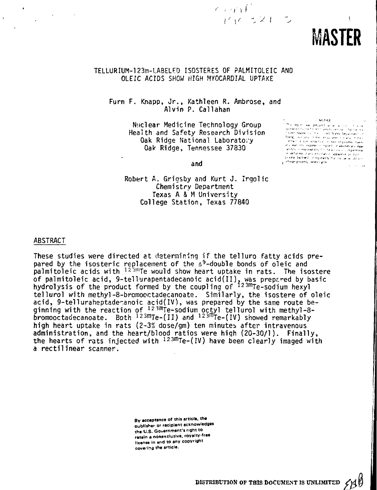

 $\mathbf{I}$ 

# TELLURIUM-123m-LABELED ISOSTERES OF PALMITOLEIC AND OLEIC ACIDS SHOW HIGH MYOCARDIAL UPTAKE

 $\epsilon$  or  $\ell^+$ 

 $1 \frac{(1 - 2)^2}{2}$ 

Furn F. Knapp, Jr., Kathleen R. Ambrose, and Alvin P. Caliahan

> Nuclear Medicine Technology Group Health and Safety Research Division Oak Ridge National Laboratory Oak Ridge, Tennessee 37830

 $-$  NOTICE.

normalisticae<br>Littis report was prepared as an allicu in internal was prepared as an all control of<br>Ispendent Charnell need careboner.com Pannell<br>Jinited States not the colord States Depannent i sono i alere colonie in negli aretei deparmenti in<br>"Energi inor arsi il meclempi iles i oligegi il oligi<br>"Il frechi si sono directo si il meclempiogresi majori pictures privately invited rights.

and

Robert A. Grigsby and Kurt J. Irgolic Chemistry Department Texas A & M University College Station, Texas 77840

#### ABSTRACT

These studies were directed at determining if the telluro fatty acids prepared by the isosteric replacement of the  $\Delta^9$ -double bonds of oleic and  $\mathsf{p}$ almitoleic acids with  $^{12.3\text{m}}$ Te would show heart uptake in rats. The isostere of palmitoleic acid, 9-tellurapentadecanoic acid $(\mathrm{II})$ , was prepared by basic hydrolysis of the product formed by the coupling of <sup>123m</sup>Te-sodium hexyl tellurol with methyl-8-bromooctadecanoate. Similarly, the isostere of oleic acid, 9-telluraheptade anoic acid(IV), was prepared by the same route beginning with the reaction of I23mTe-sodium octyl tellurol with methyl-8 bromooctadecanoate. Both <sup>123m</sup>Te-(II) and <sup>123m</sup>Te-(IV) showed remarkably high heart uptake in rats (2-3% dose/gm) ten minutes after intravenous administration, and the heart/blood ratios were high (20-30/1). Finally, the hearts of rats injected with  $^{12\,3m}$ Te-(IV) have been clearly imaged with a rectilinear scanner.

> **By acceptance of thi» article, the** publisher or recipient acknowledges the U.S. Government's right to ratain a nonexclusive, royalty-free **license in and to any copyright** covering the article.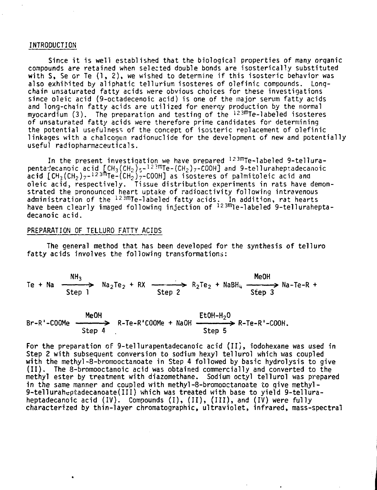#### **INTRODUCTION**

Since it is well established that the biological properties of many organic compounds are retained when selected double bonds are isosterically substituted with  $S$ , Se or Te  $(1, 2)$ , we wished to determine if this isosteric behavior was also exhibited by aliphatic tellurium isosteres of olefinic compounds. Longchain unsaturated fatty acids were obvious choices for these investigations since oleic acid (9-octadecenoic acid) is one of the major serum fatty acids and long-chain fatty acids are utilized for energy production by the normal myocardium (3). The preparation and testing of the <sup>123m</sup>Te-labeled isosteres of unsaturated fatty acids were therefore prime candidates for determining the potential usefulness of the concept of isosteric replacement of olefinic linkages with a chalcogen radionuclide for the development of new and potentially useful radiopharmaceuticals.

In the present investigation we have prepared 123mTe-labeled 9-tellurapenta-ecanoic acid  $\texttt{[CH_3(CH_2)_5-^{12.3m}Ie-(CH_2)_7-COOH]}$  and 9-telluraheptadecanoic acid [CH<sub>3</sub>(CH<sub>2</sub>) $_{7}$ -<sup>123m</sup>Te-(CH<sub>2</sub>) $_{7}$ -COOH] as isosteres of palmitoleic acid and oleic acid, respectively. Tissue distribution experiments in rats have demonstrated the pronounced heart uptake of radioactivity following intravenous administration of the <sup>123m</sup>Te-labeled fatty acids. In addition, rat hearts have been clearly imaged following injection of <sup>123m</sup>Te-labeled 9-telluraheptadecanoic acid.

#### PREPARATION OF TELLURO FATTY ACIDS

The general method that has been developed for the synthesis of telluro fatty acids involves the following transformations:

 $\mathsf{NH}_3$  MeOH Te + Na  $\longrightarrow$  Na<sub>2</sub>Te<sub>2</sub> + RX  $\longrightarrow$  R<sub>2</sub>Te<sub>2</sub> + NaBH<sub>4</sub>  $\longrightarrow$  Na-Te-R + Step 1 Step 3 Step 3 Step 3 Step 3 Step 3 Step 3 Step 3 Step 3 Step 3 Step 3 Step 3 Step 3 Step 3 Step 3 Step 3 Step 3 Step 3 Step 3 Step 3 Step 3 Step 3 Step 3 Step 3 Step 3 Step 3 Step 3 Step 3 Step 3 Step 3 Step 3 Step

MeOH  $E$  EtOH-H<sub>2</sub>O Br-R'-COOMe <del>----------></del> R-Te-R'COOMe + NaOH <del>-------------></del> R-Te-R'-COOH**.** Step 4 . Step 5

For the preparation of 9-tellurapentadecanoic acid (II), iodohexane was used in Step 2 with subsequent conversion to sodium hexyl tellurol which was coupled with the methyl-8-bromooctanoate in Step 4 followed by basic hydrolysis to give (II). The 8-bromooctanoic acid was obtained commercially and converted to the methyl ester by treatment with diazomethane. Sodium octyl tellurol was prepared in the same manner and coupled with methyl-8-bromooctanoate to give methyl-9-telluraheptadecanoate(III) which was treated with base to yield 9-telluraheptadecanoic acid (IV). Compounds (I), (II), (III), and (IV) were fully characterized by thin-layer chromatographic, ultraviolet, infrared, mass-spectral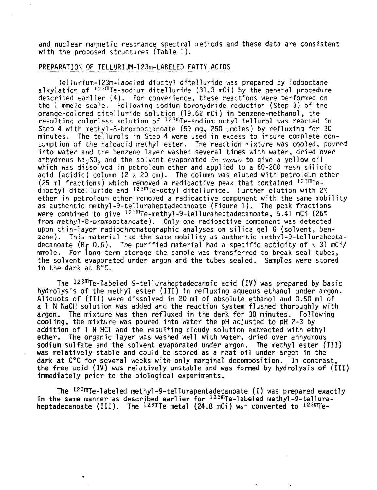and nuclear maqnetic resonance spectral methods and these data are consistent with the proposed structures (Table 1).

# PREPARATION OF TELLURIUM-123m-LABELED FATTY ACIDS

Telluriurn-123m-labeled dioctyl ditelluride was prepared by iodooctane alkylation of  $^{12\,3\rm m}$ Te-sodium ditelluride (31.3 mCi) by the general procedure described earlier (4). For convenience, these reactions were performed on the 1 rnmole scale. Following sodium borohydride reduction (Step 3) of the orange-colored ditelluride solution (19.62 mCi) in benzene-methanol, the resulting colorless solution of <sup>123m</sup>Te-sodium octyl tellurol was reacted in Step 4 with methyl-8-bromooctanoate (59 mg, 250  $\mu$ moles) by refluxing for 30 minutes. The tellurols in Step 4 were used in excess to insure complete consumption of the haloacid methyl ester. The reaction mixture was cooled, poured into water and the benzene layer washed several times with water, dried over anhydrous Na<sub>2</sub>SO<sub>u</sub> and the solvent evaporated in vacuo to give a yellow oil which was dissolved in petroleum ether and applied to a 60-200 mesh silicic acid (acidic) column  $(2 \times 20 \text{ cm})$ . The column was eluted with petroleum ether  $(25 \text{ m})$  fractions) which removed a radioactive peak that contained  $^{123 \text{m}}$ Tedioctyl ditelluride and 123mTe-octyl ditelluride. Further elution with 2% ether in petroleum ether removed a radioactive component with the same mobility as authentic methyl-9-telluraheptadecanoate (Fiaure 1). The peak fractions were combined to give  $125^{\text{m}}$ Te-methyl-9-telluraheptadecanoate, 5.41 mCi (26%) from rrethyl-8-bromooctanoate). Only one radioactive component was detected upon thin-layer radiochromatographic analyses on silica gel G (solvent, benzene). This material had the same mobility as authentic methyl-9-telluraheptadecanoate (R<sub>f</sub> 0.6). The purified material had a specific acticity of  $\sim$  31 mCi/ mmole. For long-term storage the sample was transferred to break-seal tubes, the solvent evaporated under argon and the tubes sealed. Samples were stored in the dark at 8°C.

The 123mTe-labeled 9-telluraheptadecanoic acid (IV) was prepared by basic hydrolysis of the methyl ester (III) in refluxing aqueous ethanol under argon. Aliquots of (III) were dissolved in 20 ml of absolute ethanol and 0.50 ml of a 1 N NaOH solution was added and the reaction system flushed thoroughly with argon. The mixture was then refluxed in the dark for 30 minutes. Following cooling, the mixture was poured into water the pH adjusted to pH 2-3 by addition of 1 N HC1 and the resulting cloudy solution extracted with ethyl ether. The organic layer was washed well with water, dried over anhydrous sodium sulfate and the solvent evaporated under argon. The methyl ester (III) was relatively stable and could be stored as a neat oil under argon in the dark at 0°C for several weeks with only marginal decomposition. In contrast, the free acid (IV) was relatively unstable and was formed by hydrolysis of (III) immediately prior to the biological experiments.

The <sup>123m</sup>Te-labeled methyl-9-tellurapentadecanoate (I) was prepared exactly in the same manner as described earlier for 123mTe-labeled methyl-9-telluraheptadecanoate (III). The  $^{12\,3\rm{m}}$ Te metal (24.8 mCi) was converted to  $^{12\,3\rm{m}}$ Te-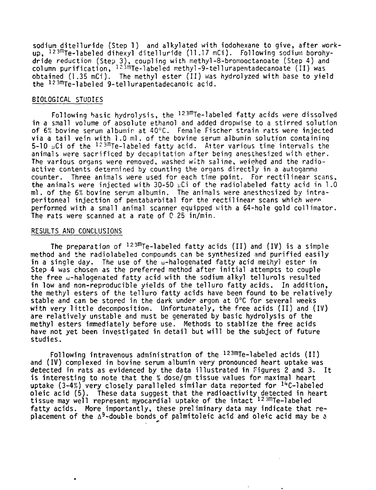sodium ditelluride (Step 1) and alkylated with iodohexane to give, after workup, 123mTe-labeled dihexyl diteiiun'de (11.17 mCi). Following sodium borohydride reduction (Step 3) , coupling with methyl-8-bromooctanoate (Step 4) and column purification, <sup>123m</sup>Te-labeled methyl-9-tellurapentadecanoate (II) was obtained (1.35 mCi). The methyl ester (II) was hydrolyzed with base to yield the 123mTe-1abeled 9-tellurapentadecanoic acid.

## BIOLOGICAL STUDIES

Following basic hydrolysis, the 123mTe-labeled fatty acids were dissolved in a small volume of absolute ethanol and added dropwise to a stirred solution of 6% bovine serum albumin at 40°C. Female Fischer strain rats were injected via a tail vein with 1.0 ml. of the bovine serum albumin solution containing 5-10  $\mu$ Ci of the  $^{12\,3\overline{n}}$ Te-labeled fatty acid. Aiter various time intervals the animals were sacrificed by decapitation after being anesthesized with ether. The various organs were removed, washed with saline, weiohed and the radioactive contents determined by counting the organs directly in a autogamma counter. Three animals were used for each time point. For rectilinear scans, the animals were injected with 30-50  $\mu$ Ci of the radiolabeled fatty acid in 1.0 ml. of the 6% bovine serum albumin. The animals were anesthosized by intraperitoneal injection of pentabarbital for the rectilinear scans which were performed with a small animal scanner equipped with a 64-hole gold collimator. The rats were scanned at a rate of C 25 in/min.

#### RESULTS AND CONCLUSIONS

The preparation of <sup>123m</sup>Te-labeled fatty acids (II) and (IV) is a simple method and the radiolabeled compounds can be synthesized and purified easily in a single day. The use of the w-halogenated fatty acid methyl ester in Step 4 was chosen as the preferred method after initial attempts to couple the free w-halogenated fatty acid with the sodium alkyl tellurols resulted in low and non-reproducible yields of the telluro fatty acids. In addition, the methyl esters of the telluro fatty acids have been found to be relatively stable and can be stored in the dark under argon at 0°C for several weeks with very little decomposition. Unfortunately, the free acids (II) and (IV) are relatively unstable and must be generated by basic hydrolysis of the methyl esters immediately before use. Methods to stablize the free acids have not yet been investigated in detail but will be the subject of future studies.

Following intravenous administration of the 123mTe-labeled acids (II) and (IV) complexed in bovine serum albumin very pronounced heart uptake was detected in rats as evidenced by the data illustrated in Figures 2 and 3. It is interesting to note that the % dose/gm tissue values for maximal heart uptake (3-4%) very closely paralleled similar data reported for <sup>14</sup>C-labeled oleic acid (5). These data suggest that the radioactivity detected in heart tissue may well represent myocardial uptake of the intact <sup>123m</sup>Te-labeled fatty acids. More importantly, these preliminary data may indicate that replacement of the  $\Delta^9$ -double bonds of paimitoleic acid and oleic acid may be a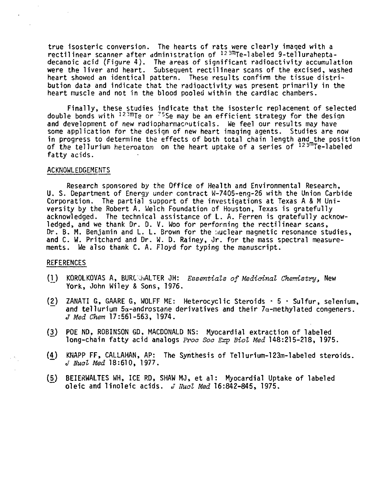**true isosteric conversion. The hearts of rats were clearly imaged with a rectilinear scanner after administration of 123mTe-labeled 9-telluraheptadecanoic acid (Figure 4) . The areas of significant radioactivity accumulation were the liver and heart. Subsequent rectilinear scans of the excised, washed heart showed an identical pattern. These results confirm the tissue distribution data and indicate that the radioactivity was present primarily in the heart muscle and not in the blood pooled within the cardiac chambers.**

**Finally, these studies indicate that the isosteric replacement of selected double bonds with I23f"Te or ?5Se may be an efficient strategy for the design** and development of new radiopharmaceuticals. We feel our results may have **some application for the design of new heart imaging agents. Studies are now in progress to determine the effects of both total chain length and the position of the tellurium heteroatom on the heart uptake of a series of 123mTe-labeled fatty acids.**

## **ACKNOWLEDGEMENTS**

**Research sponsored by the Office of Health and Environmental Research, U. S. Department of Energy under contract W-7405-eng-26 with the Union Carbide Corporation.** The partial support of the investigations at Texas A & M Uni**versity by the Robert A. Welch Foundation of Houston, Texas is gratefully acknowledged. The technical assistance of L. A. Ferren is gratefully acknowledged, and we thank Dr. D. V. Woo for performing the rectilinear scans, Dr. B. M. Benjamin and L. L. Brown for the nuclear magnetic resonance studies, and C. W. Pritchard and Dr. W. D. Rainey, Jr. for the mass spectral measurements. We also thank C. A. Floyd for typing the manuscript.**

# **REFERENCES**

- **(1\_) KQROLKOVAS A, BURC!WALTER JH: Essentials of Medicinal Chemistry, New York, John Wiley & Sons, 1976.**
- **{2) ZANATI G, GAARE G, WOLFF ME: Heterocyclic Steroids 5 Sulfur, selenium,** and tellurium  $5\alpha$ -androstane derivatives and their  $7\alpha$ -methylated congeners. **J Med Chem 17:561-563, 1974.**
- **(3) POE ND, ROBINSON GD, MACDONALD NS: Myocardial extraction of labeled long-chain fatty acid analogs Proa Soc Exp Biol Med 148:215-218, 1975.**
- **(4) KNAPP FF, CALLAHAN, AP: The Synthesis of Tellurium-123m-labeled steroids. J Nual Med 18:610, 1977.**
- **(5\_) BEIERWALTES WH, ICE RD, SHAW MJ, et al: Myocardial Uptake of labeled oleic and linoleic acids. J Nual Med 16:842-845, 1975.**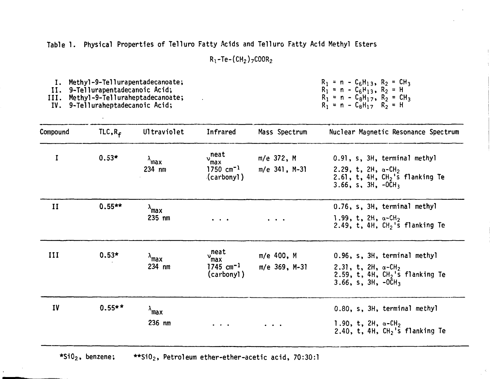**Table 1. Physical Properties of Telluro Fatty Acids and Telluro Fatty Acid Methyl Esters**

**Rt-Te-(CH2)7C00R<sup>2</sup>**

**I. Methyl-9-Tel1urapentadecanoate;**

**II. 9-Tellurapentadecanoic Acid;**

**III. Methyl-9-Tel1uraheptadecanoate;**

**IV. 9-Telluraheptadecanoic Acid;**

 $R_1 = n - C_6H_{13}$ ,  $R_2 = CH_3$ **Rl = n - C<sup>6</sup> <sup>H</sup>1 3 , R2 = H**  $R_1 = n - C_8 H_{17}$ ,  $R_2 = C_8 H_3$ **R! = n - C<sup>8</sup> <sup>H</sup><sup>1</sup> <sup>7</sup> R2 = H**

| Compound     | TLC, R <sub>f</sub> | Ultraviolet                        | Infrared                                                                                    | Mass Spectrum                                                                           | Nuclear Magnetic Resonance Spectrum                                                                                                        |
|--------------|---------------------|------------------------------------|---------------------------------------------------------------------------------------------|-----------------------------------------------------------------------------------------|--------------------------------------------------------------------------------------------------------------------------------------------|
| I            | $0.53*$             | $\lambda$ <sub>max</sub><br>234 nm | $v$ <sup>neat</sup><br>max<br>1750 $cm^{-1}$<br>(carbonyl)                                  | m/e 372, M<br>m/e 341, M-31                                                             | 0.91, s, 3H, terminal methyl<br>2.29, t, 2H, $\alpha$ -CH <sub>2</sub><br>2.61, t, 4H, $CH2$ 's flanking Te<br>$3.66$ , s, $3H$ , $-0CH_3$ |
| $\mathbf{I}$ | $0.55***$           | $\lambda_{\text{max}}$<br>$235$ nm | $\bullet \qquad \bullet \qquad \bullet$                                                     | $\ddot{\phantom{a}}$                                                                    | 0.76, s, 3H, terminal methyl<br>1.99, t, $2H$ , $\alpha$ -CH <sub>2</sub><br>2.49, t, 4H, $CH2$ 's flanking Te                             |
| III          | $0.53*$             | $\lambda_{\sf max}$<br>234 nm      | neat<br>י<br>max<br>1745 $cm^{-1}$<br>(carbonyl)                                            | m/e 400, M<br>m/e 369, M-31                                                             | 0.96, s, 3H, terminal methyl<br>2.31, t, 2H, $\alpha$ -CH <sub>2</sub><br>2.59, t, 4H, $CH2$ 's flanking Te<br>$3.66$ , s, $3H$ , $-0CH3$  |
| IV           | $0.55**$            | $\lambda$ max<br>236 nm            | $\begin{array}{cccccccccccccc} \bullet & \bullet & \bullet & \bullet & \bullet \end{array}$ | $\begin{array}{cccccccccc} \bullet & \bullet & \bullet & \bullet & \bullet \end{array}$ | 0.80, s, 3H, terminal methyl<br>1.90, t, 2H, $\alpha$ -CH <sub>2</sub><br>2.40, t, 4H, $CH2$ 's flanking Te                                |

**\*Si02, benzene; \*\*Si02, Petroleum ether-ether-acetic acid, 70:30:1**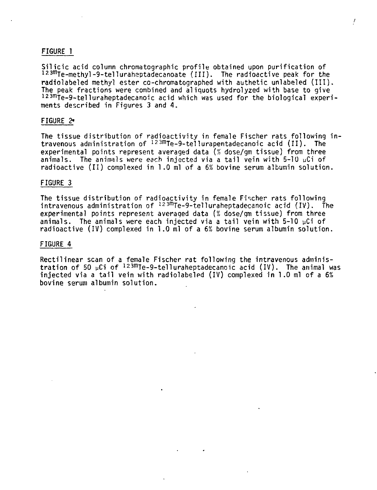## **FIGURE 1**

**Silicic acid column chromatographic profile obtained upon purification of 123fnTe-methy1-9-telluraheptadecanoate (III). The radioactive peak for the radiolabeled methyl ester cc-chromatographed with authetic unlabeled (III). The peak fractions were combined and aliquots hydrolyzed with base to give 123mTe-9-telluraheptadecanoic acid which was used for the biological experiments described in Figures 3 and 4.**

## **FIGURE 2\***

**The tissue distribution of radioactivity in female Fischer rats following intravenous administration of 123mTe-9-tellurapentadecanoic acid (II). The experimental points represent averaged data (% dose/gm tissue) from three animals. The animals were each injected via a tail vein with 5-10 uCi of radioactive (II) complexed in 1.0 ml of a 6% bovine serum albumin solution.**

#### **FIGURE 3**

**The tissue distribution of radioactivity in female Fischer rats following intravenous administration of 123mTe-9-telluraheptadecanoic acid (IV). The experimental points represent averaged data [% dose/gm tissue) from three animals. The animals were each injected via a tail vein with 5-10 pCi of radioactive (IV) complexed in 1.0 ml of a 6% bovine serum albumin solution.**

#### **FIGURE 4**

**Rectilinear scan of a female Fischer rat following the intravenous adminis**tration of 50 µCi of <sup>123m</sup>Te-9-telluraheptadecanoic acid (IV). The animal was **injected via a tail vein with radiolabeled (IV) complexed in 1.0 ml of a 6% bovine serum albumin solution.**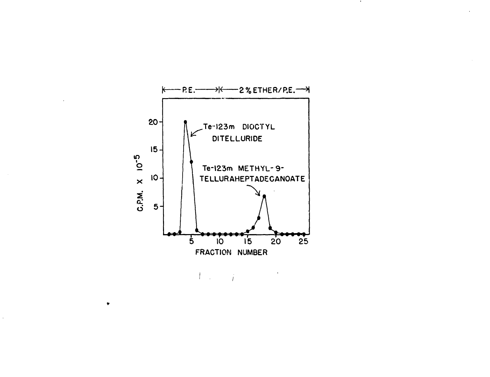

 $\cdot$ 

 $\Gamma$  .  $\frac{1}{i}$ 

 $\bullet$ 

 $\mathcal{L}^{\pm}$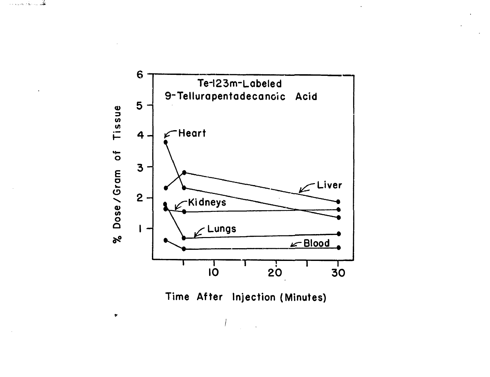هما المنابع



Time After Injection (Minutes)

 $\bullet$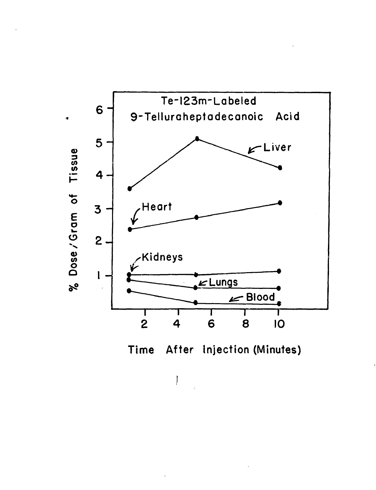



ţ